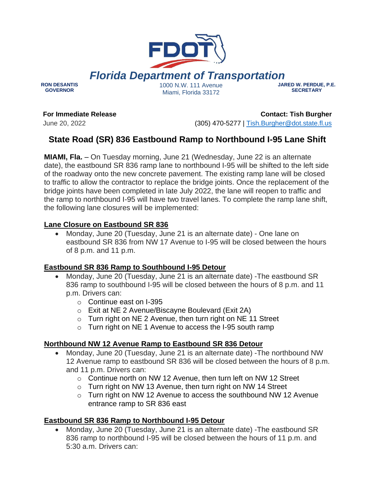

*Florida Department of Transportation*

**RON DESANTIS GOVERNOR**

1000 N.W. 111 Avenue Miami, Florida 33172

#### **JARED W. PERDUE, P.E. SECRETARY**

**For Immediate Release**

June 20, 2022

**Contact: Tish Burgher** (305) 470-5277 | [Tish.Burgher@dot.state.fl.us](mailto:Tish.Burgher@dot.state.fl.us)

# **State Road (SR) 836 Eastbound Ramp to Northbound I-95 Lane Shift**

**MIAMI, Fla.** – On Tuesday morning, June 21 (Wednesday, June 22 is an alternate date), the eastbound SR 836 ramp lane to northbound I-95 will be shifted to the left side of the roadway onto the new concrete pavement. The existing ramp lane will be closed to traffic to allow the contractor to replace the bridge joints. Once the replacement of the bridge joints have been completed in late July 2022, the lane will reopen to traffic and the ramp to northbound I-95 will have two travel lanes. To complete the ramp lane shift, the following lane closures will be implemented:

## **Lane Closure on Eastbound SR 836**

• Monday, June 20 (Tuesday, June 21 is an alternate date) - One lane on eastbound SR 836 from NW 17 Avenue to I-95 will be closed between the hours of 8 p.m. and 11 p.m.

### **Eastbound SR 836 Ramp to Southbound I-95 Detour**

- Monday, June 20 (Tuesday, June 21 is an alternate date) -The eastbound SR 836 ramp to southbound I-95 will be closed between the hours of 8 p.m. and 11 p.m. Drivers can:
	- o Continue east on I-395
	- o Exit at NE 2 Avenue/Biscayne Boulevard (Exit 2A)
	- $\circ$  Turn right on NE 2 Avenue, then turn right on NE 11 Street
	- o Turn right on NE 1 Avenue to access the I-95 south ramp

### **Northbound NW 12 Avenue Ramp to Eastbound SR 836 Detour**

- Monday, June 20 (Tuesday, June 21 is an alternate date) -The northbound NW 12 Avenue ramp to eastbound SR 836 will be closed between the hours of 8 p.m. and 11 p.m. Drivers can:
	- o Continue north on NW 12 Avenue, then turn left on NW 12 Street
	- o Turn right on NW 13 Avenue, then turn right on NW 14 Street
	- o Turn right on NW 12 Avenue to access the southbound NW 12 Avenue entrance ramp to SR 836 east

### **Eastbound SR 836 Ramp to Northbound I-95 Detour**

• Monday, June 20 (Tuesday, June 21 is an alternate date) -The eastbound SR 836 ramp to northbound I-95 will be closed between the hours of 11 p.m. and 5:30 a.m. Drivers can: